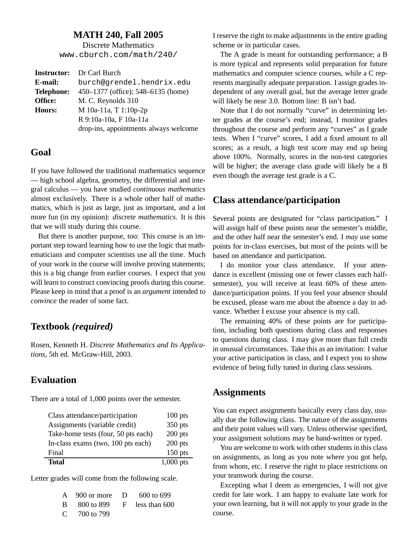#### **MATH 240, Fall 2005**

Discrete Mathematics www.cburch.com/math/240/

|            | <b>Instructor:</b> Dr Carl Burch      |
|------------|---------------------------------------|
| E-mail:    | burch@grendel.hendrix.edu             |
| Telephone: | 450–1377 (office); 548–6135 (home)    |
| Office:    | M. C. Reynolds 310                    |
| Hours:     | M 10a-11a, T 1:10p-2p                 |
|            | R 9:10a-10a, F 10a-11a                |
|            | drop-ins, appointments always welcome |

### **Goal**

If you have followed the traditional mathematics sequence — high school algebra, geometry, the differential and integral calculus — you have studied *continuous mathematics* almost exclusively. There is a whole other half of mathematics, which is just as large, just as important, and a lot more fun (in my opinion): *discrete mathematics*. It is this that we will study during this course.

But there is another purpose, too: This course is an important step toward learning how to use the logic that mathematicians and computer scientists use all the time. Much of your work in the course will involve proving statements; this is a big change from earlier courses. I expect that you will learn to construct convincing proofs during this course. Please keep in mind that a proof is an *argument* intended to *convince* the reader of some fact.

## **Textbook** *(required)*

Rosen, Kenneth H. *Discrete Mathematics and Its Applications*, 5th ed. McGraw-Hill, 2003.

### **Evaluation**

There are a total of 1,000 points over the semester.

| <b>Total</b>                        | $1,000$ pts |
|-------------------------------------|-------------|
| Final                               | $150$ pts   |
| In-class exams (two, 100 pts each)  | $200$ pts   |
| Take-home tests (four, 50 pts each) | $200$ pts   |
| Assignments (variable credit)       | 350 pts     |
| Class attendance/participation      | $100$ pts   |

Letter grades will come from the following scale.

| A $900$ or more D $600$ to 699             |  |
|--------------------------------------------|--|
| $\rm{B}$ 800 to 899 $\rm{F}$ less than 600 |  |
| C $-700$ to 799                            |  |

I reserve the right to make adjustments in the entire grading scheme or in particular cases.

The A grade is meant for outstanding performance; a B is more typical and represents solid preparation for future mathematics and computer science courses, while a C represents marginally adequate preparation. I assign grades independent of any overall goal, but the average letter grade will likely be near 3.0. Bottom line: B isn't bad.

Note that I do not normally "curve" in determining letter grades at the course's end; instead, I monitor grades throughout the course and perform any "curves" as I grade tests. When I "curve" scores, I add a fixed amount to all scores; as a result, a high test score may end up being above 100%. Normally, scores in the non-test categories will be higher; the average class grade will likely be a B even though the average test grade is a C.

## **Class attendance/participation**

Several points are designated for "class participation." I will assign half of these points near the semester's middle, and the other half near the semester's end. I *may* use some points for in-class exercises, but most of the points will be based on attendance and participation.

I do monitor your class attendance. If your attendance is excellent (missing one or fewer classes each halfsemester), you will receive at least 60% of these attendance/participation points. If you feel your absence should be excused, please warn me about the absence a day in advance. Whether I excuse your absence is my call.

The remaining 40% of these points are for participation, including both questions during class and responses to questions during class. I may give more than full credit in unusual circumstances. Take this as an invitation: I value your active participation in class, and I expect you to show evidence of being fully tuned in during class sessions.

### **Assignments**

You can expect assignments basically every class day, usually due the following class. The nature of the assignments and their point values will vary. Unless otherwise specified, your assignment solutions may be hand-written or typed.

You are welcome to work with other students in this class on assignments, as long as you note where you got help, from whom, etc. I reserve the right to place restrictions on your teamwork during the course.

Excepting what I deem as emergencies, I will not give credit for late work. I am happy to evaluate late work for your own learning, but it will not apply to your grade in the course.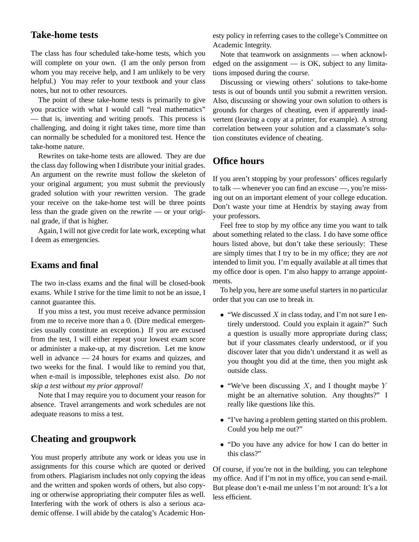## **Take-home tests**

The class has four scheduled take-home tests, which you will complete on your own. (I am the only person from whom you may receive help, and I am unlikely to be very helpful.) You may refer to your textbook and your class notes, but not to other resources.

The point of these take-home tests is primarily to give you practice with what I would call "real mathematics" — that is, inventing and writing proofs. This process is challenging, and doing it right takes time, more time than can normally be scheduled for a monitored test. Hence the take-home nature.

Rewrites on take-home tests are allowed. They are due the class day following when I distribute your initial grades. An argument on the rewrite must follow the skeleton of your original argument; you must submit the previously graded solution with your rewritten version. The grade your receive on the take-home test will be three points less than the grade given on the rewrite — or your original grade, if that is higher.

Again, I will not give credit for late work, excepting what I deem as emergencies.

# **Exams and final**

The two in-class exams and the final will be closed-book exams. While I strive for the time limit to not be an issue, I cannot guarantee this.

If you miss a test, you must receive advance permission from me to receive more than a 0. (Dire medical emergencies usually constitute an exception.) If you are excused from the test, I will either repeat your lowest exam score or administer a make-up, at my discretion. Let me know well in advance — 24 hours for exams and quizzes, and two weeks for the final. I would like to remind you that, when e-mail is impossible, telephones exist also. *Do not skip a test without my prior approval!*

Note that I may require you to document your reason for absence. Travel arrangements and work schedules are not adequate reasons to miss a test.

## **Cheating and groupwork**

You must properly attribute any work or ideas you use in assignments for this course which are quoted or derived from others. Plagiarism includes not only copying the ideas and the written and spoken words of others, but also copying or otherwise appropriating their computer files as well. Interfering with the work of others is also a serious academic offense. I will abide by the catalog's Academic Honesty policy in referring cases to the college's Committee on Academic Integrity.

Note that teamwork on assignments — when acknowledged on the assignment — is OK, subject to any limitations imposed during the course.

Discussing or viewing others' solutions to take-home tests is out of bounds until you submit a rewritten version. Also, discussing or showing your own solution to others is grounds for charges of cheating, even if apparently inadvertent (leaving a copy at a printer, for example). A strong correlation between your solution and a classmate's solution constitutes evidence of cheating.

# **Office hours**

If you aren't stopping by your professors' offices regularly to talk — whenever you can find an excuse —, you're missing out on an important element of your college education. Don't waste your time at Hendrix by staying away from your professors.

Feel free to stop by my office any time you want to talk about something related to the class. I do have some office hours listed above, but don't take these seriously: These are simply times that I try to be in my office; they are *not* intended to limit you. I'm equally available at all times that my office door is open. I'm also happy to arrange appointments.

To help you, here are some useful starters in no particular order that you can use to break in.

- $\bullet$  "We discussed X in class today, and I'm not sure I entirely understood. Could you explain it again?" Such a question is usually more appropriate during class; but if your classmates clearly understood, or if you discover later that you didn't understand it as well as you thought you did at the time, then you might ask outside class.
- "We've been discussing  $X$ , and I thought maybe  $Y$ might be an alternative solution. Any thoughts?" I really like questions like this.
- "I've having a problem getting started on this problem. Could you help me out?"
- "Do you have any advice for how I can do better in this class?"

Of course, if you're not in the building, you can telephone my office. And if I'm not in my office, you can send e-mail. But please don't e-mail me unless I'm not around: It's a lot less efficient.